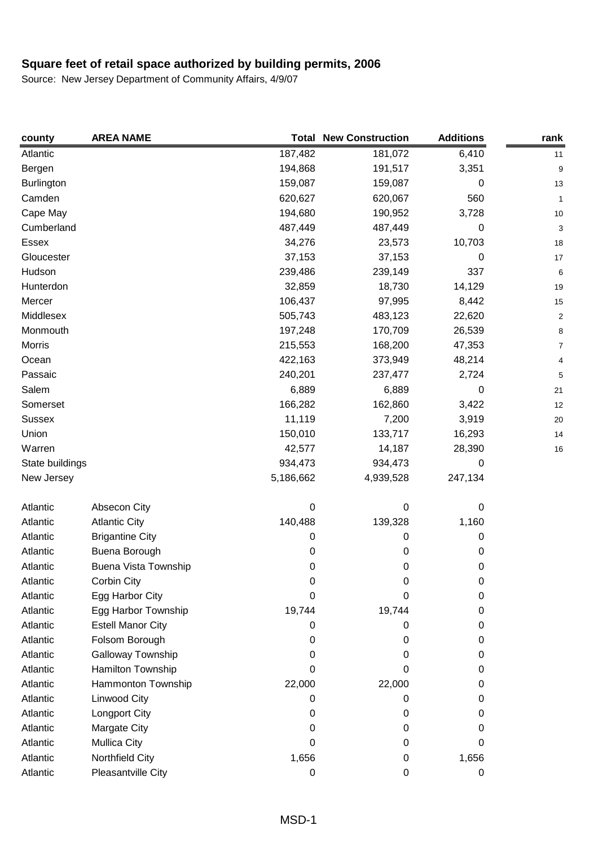| county          | <b>AREA NAME</b>            |           | <b>Total New Construction</b> | <b>Additions</b> | rank                    |
|-----------------|-----------------------------|-----------|-------------------------------|------------------|-------------------------|
| Atlantic        |                             | 187,482   | 181,072                       | 6,410            | 11                      |
| Bergen          |                             | 194,868   | 191,517                       | 3,351            | 9                       |
| Burlington      |                             | 159,087   | 159,087                       | 0                | 13                      |
| Camden          |                             | 620,627   | 620,067                       | 560              | 1                       |
| Cape May        |                             | 194,680   | 190,952                       | 3,728            | 10                      |
| Cumberland      |                             | 487,449   | 487,449                       | 0                | 3                       |
| Essex           |                             | 34,276    | 23,573                        | 10,703           | 18                      |
| Gloucester      |                             | 37,153    | 37,153                        | 0                | 17                      |
| Hudson          |                             | 239,486   | 239,149                       | 337              | 6                       |
| Hunterdon       |                             | 32,859    | 18,730                        | 14,129           | 19                      |
| Mercer          |                             | 106,437   | 97,995                        | 8,442            | 15                      |
| Middlesex       |                             | 505,743   | 483,123                       | 22,620           | $\overline{\mathbf{c}}$ |
| Monmouth        |                             | 197,248   | 170,709                       | 26,539           | 8                       |
| Morris          |                             | 215,553   | 168,200                       | 47,353           | 7                       |
| Ocean           |                             | 422,163   | 373,949                       | 48,214           | 4                       |
| Passaic         |                             | 240,201   | 237,477                       | 2,724            | 5                       |
| Salem           |                             | 6,889     | 6,889                         | 0                | 21                      |
| Somerset        |                             | 166,282   | 162,860                       | 3,422            | 12                      |
| <b>Sussex</b>   |                             | 11,119    | 7,200                         | 3,919            | 20                      |
| Union           |                             | 150,010   | 133,717                       | 16,293           | 14                      |
| Warren          |                             | 42,577    | 14,187                        | 28,390           | 16                      |
| State buildings |                             | 934,473   | 934,473                       | 0                |                         |
| New Jersey      |                             | 5,186,662 | 4,939,528                     | 247,134          |                         |
| Atlantic        | Absecon City                | 0         | 0                             | 0                |                         |
| Atlantic        | <b>Atlantic City</b>        | 140,488   | 139,328                       | 1,160            |                         |
| Atlantic        | <b>Brigantine City</b>      | 0         | 0                             | 0                |                         |
| Atlantic        | Buena Borough               | 0         | 0                             | 0                |                         |
| Atlantic        | <b>Buena Vista Township</b> | 0         | 0                             | 0                |                         |
| Atlantic        | Corbin City                 | 0         | 0                             | 0                |                         |
| Atlantic        | Egg Harbor City             | 0         | 0                             | 0                |                         |
| Atlantic        | Egg Harbor Township         | 19,744    | 19,744                        | 0                |                         |
| Atlantic        | <b>Estell Manor City</b>    | 0         | 0                             | 0                |                         |
| Atlantic        | Folsom Borough              | 0         | 0                             | 0                |                         |
| Atlantic        | Galloway Township           | 0         | 0                             | 0                |                         |
| Atlantic        | Hamilton Township           | 0         | 0                             | 0                |                         |
| Atlantic        | Hammonton Township          | 22,000    | 22,000                        | 0                |                         |
| Atlantic        | Linwood City                | 0         | 0                             | 0                |                         |
| Atlantic        | Longport City               | 0         | 0                             | 0                |                         |
| Atlantic        | Margate City                | 0         | 0                             | 0                |                         |
| Atlantic        | <b>Mullica City</b>         | 0         | 0                             | 0                |                         |
| Atlantic        | Northfield City             | 1,656     | 0                             | 1,656            |                         |
| Atlantic        | Pleasantville City          | $\pmb{0}$ | 0                             | 0                |                         |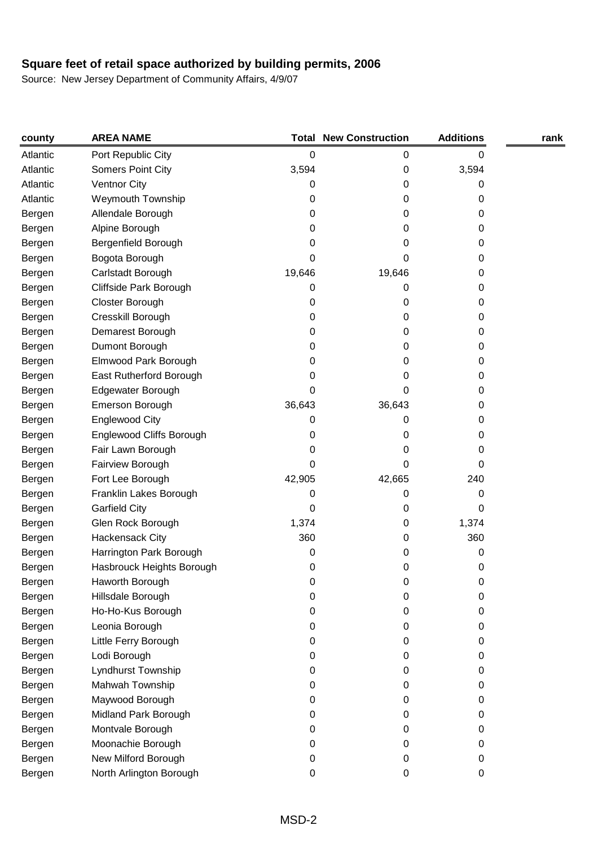| county   | <b>AREA NAME</b>          |           | <b>Total New Construction</b> | <b>Additions</b> | rank |
|----------|---------------------------|-----------|-------------------------------|------------------|------|
| Atlantic | Port Republic City        | 0         | 0                             | 0                |      |
| Atlantic | Somers Point City         | 3,594     | 0                             | 3,594            |      |
| Atlantic | <b>Ventnor City</b>       | 0         | 0                             | 0                |      |
| Atlantic | Weymouth Township         | 0         | 0                             | 0                |      |
| Bergen   | Allendale Borough         | 0         | 0                             | 0                |      |
| Bergen   | Alpine Borough            | 0         | 0                             | 0                |      |
| Bergen   | Bergenfield Borough       | 0         | 0                             | 0                |      |
| Bergen   | Bogota Borough            | 0         | 0                             | 0                |      |
| Bergen   | Carlstadt Borough         | 19,646    | 19,646                        | 0                |      |
| Bergen   | Cliffside Park Borough    | 0         | 0                             | 0                |      |
| Bergen   | Closter Borough           | 0         | 0                             | 0                |      |
| Bergen   | Cresskill Borough         | 0         | 0                             | 0                |      |
| Bergen   | Demarest Borough          | 0         | 0                             | 0                |      |
| Bergen   | Dumont Borough            | 0         | 0                             | 0                |      |
| Bergen   | Elmwood Park Borough      | 0         | 0                             | 0                |      |
| Bergen   | East Rutherford Borough   | 0         | 0                             | 0                |      |
| Bergen   | Edgewater Borough         | 0         | 0                             | 0                |      |
| Bergen   | Emerson Borough           | 36,643    | 36,643                        | 0                |      |
| Bergen   | <b>Englewood City</b>     | 0         | 0                             | 0                |      |
| Bergen   | Englewood Cliffs Borough  | 0         | 0                             | 0                |      |
| Bergen   | Fair Lawn Borough         | 0         | 0                             | 0                |      |
| Bergen   | Fairview Borough          | 0         | 0                             | 0                |      |
| Bergen   | Fort Lee Borough          | 42,905    | 42,665                        | 240              |      |
| Bergen   | Franklin Lakes Borough    | 0         | 0                             | 0                |      |
| Bergen   | <b>Garfield City</b>      | 0         | 0                             | 0                |      |
| Bergen   | Glen Rock Borough         | 1,374     | 0                             | 1,374            |      |
| Bergen   | <b>Hackensack City</b>    | 360       | 0                             | 360              |      |
| Bergen   | Harrington Park Borough   | 0         | 0                             | 0                |      |
| Bergen   | Hasbrouck Heights Borough | 0         | 0                             | 0                |      |
| Bergen   | Haworth Borough           | 0         | 0                             | 0                |      |
| Bergen   | Hillsdale Borough         | 0         | 0                             | 0                |      |
| Bergen   | Ho-Ho-Kus Borough         | 0         | 0                             | 0                |      |
| Bergen   | Leonia Borough            | 0         | 0                             | 0                |      |
| Bergen   | Little Ferry Borough      | 0         | 0                             | 0                |      |
| Bergen   | Lodi Borough              | 0         | 0                             | 0                |      |
| Bergen   | Lyndhurst Township        | 0         | 0                             | 0                |      |
| Bergen   | Mahwah Township           | 0         | 0                             | 0                |      |
| Bergen   | Maywood Borough           | 0         | 0                             | 0                |      |
| Bergen   | Midland Park Borough      | 0         | 0                             | 0                |      |
| Bergen   | Montvale Borough          | 0         | 0                             | 0                |      |
| Bergen   | Moonachie Borough         | 0         | 0                             | 0                |      |
| Bergen   | New Milford Borough       | 0         | 0                             | 0                |      |
| Bergen   | North Arlington Borough   | $\pmb{0}$ | 0                             | 0                |      |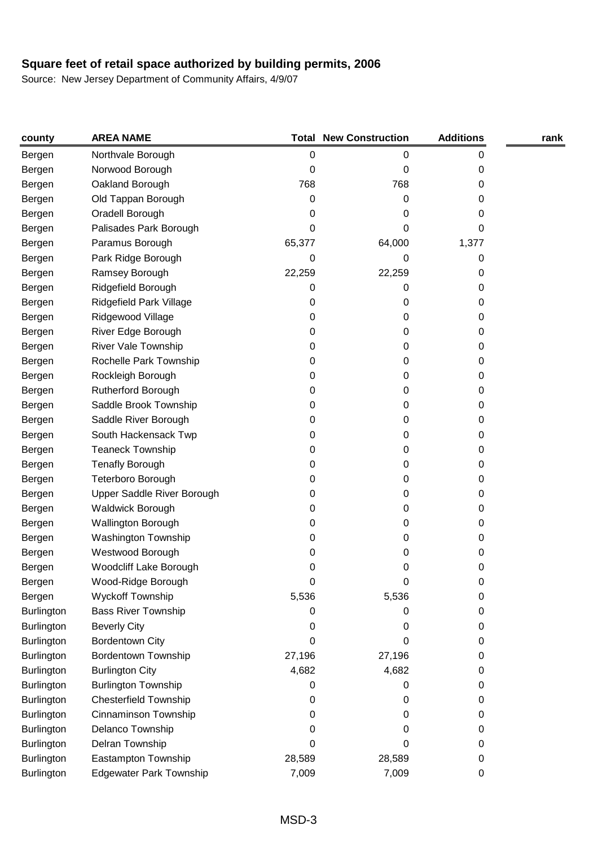| county            | <b>AREA NAME</b>               |        | <b>Total New Construction</b> | <b>Additions</b> | rank |
|-------------------|--------------------------------|--------|-------------------------------|------------------|------|
| Bergen            | Northvale Borough              | 0      | 0                             | 0                |      |
| Bergen            | Norwood Borough                | 0      | 0                             | 0                |      |
| Bergen            | Oakland Borough                | 768    | 768                           | 0                |      |
| Bergen            | Old Tappan Borough             | 0      | 0                             | 0                |      |
| Bergen            | Oradell Borough                | 0      | 0                             | 0                |      |
| Bergen            | Palisades Park Borough         | 0      | 0                             | 0                |      |
| Bergen            | Paramus Borough                | 65,377 | 64,000                        | 1,377            |      |
| Bergen            | Park Ridge Borough             | 0      | 0                             | 0                |      |
| Bergen            | Ramsey Borough                 | 22,259 | 22,259                        | 0                |      |
| Bergen            | Ridgefield Borough             | 0      | 0                             | 0                |      |
| Bergen            | Ridgefield Park Village        | 0      | 0                             | 0                |      |
| Bergen            | Ridgewood Village              | 0      | 0                             | 0                |      |
| Bergen            | River Edge Borough             | 0      | 0                             | 0                |      |
| Bergen            | River Vale Township            | 0      | 0                             | 0                |      |
| Bergen            | Rochelle Park Township         | 0      | 0                             | 0                |      |
| Bergen            | Rockleigh Borough              | 0      | 0                             | 0                |      |
| Bergen            | Rutherford Borough             | 0      | 0                             | 0                |      |
| Bergen            | Saddle Brook Township          | 0      | 0                             | 0                |      |
| Bergen            | Saddle River Borough           | 0      | 0                             | 0                |      |
| Bergen            | South Hackensack Twp           | 0      | 0                             | 0                |      |
| Bergen            | <b>Teaneck Township</b>        | 0      | 0                             | 0                |      |
| Bergen            | <b>Tenafly Borough</b>         | 0      | 0                             | 0                |      |
| Bergen            | Teterboro Borough              | 0      | 0                             | 0                |      |
| Bergen            | Upper Saddle River Borough     | 0      | 0                             | 0                |      |
| Bergen            | <b>Waldwick Borough</b>        | 0      | 0                             | 0                |      |
| Bergen            | Wallington Borough             | 0      | 0                             | 0                |      |
| Bergen            | Washington Township            | 0      | 0                             | 0                |      |
| Bergen            | Westwood Borough               | 0      | 0                             | 0                |      |
| Bergen            | <b>Woodcliff Lake Borough</b>  | 0      | 0                             | 0                |      |
| Bergen            | Wood-Ridge Borough             | 0      | 0                             | 0                |      |
| Bergen            | Wyckoff Township               | 5,536  | 5,536                         | 0                |      |
| Burlington        | <b>Bass River Township</b>     | 0      | 0                             | 0                |      |
| Burlington        | <b>Beverly City</b>            | 0      | 0                             | 0                |      |
| Burlington        | <b>Bordentown City</b>         | 0      | 0                             | 0                |      |
| Burlington        | <b>Bordentown Township</b>     | 27,196 | 27,196                        | 0                |      |
| Burlington        | <b>Burlington City</b>         | 4,682  | 4,682                         | 0                |      |
| Burlington        | <b>Burlington Township</b>     | 0      | 0                             | 0                |      |
| <b>Burlington</b> | <b>Chesterfield Township</b>   | 0      | 0                             | 0                |      |
| Burlington        | Cinnaminson Township           | 0      | 0                             | 0                |      |
| Burlington        | Delanco Township               | 0      | 0                             | 0                |      |
| Burlington        | Delran Township                | 0      | 0                             | 0                |      |
| Burlington        | Eastampton Township            | 28,589 | 28,589                        | 0                |      |
| Burlington        | <b>Edgewater Park Township</b> | 7,009  | 7,009                         | 0                |      |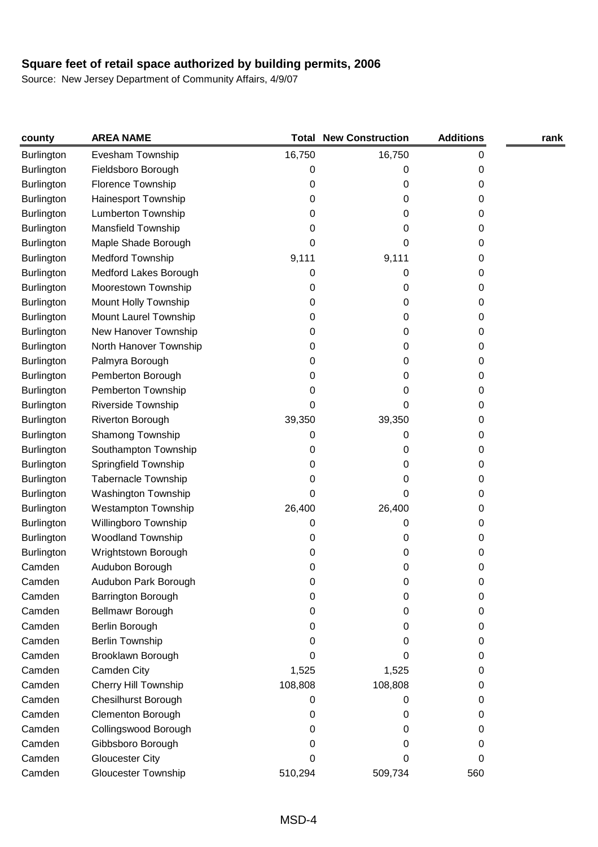| county            | <b>AREA NAME</b>            |         | <b>Total New Construction</b> | <b>Additions</b> | rank |
|-------------------|-----------------------------|---------|-------------------------------|------------------|------|
| <b>Burlington</b> | Evesham Township            | 16,750  | 16,750                        | 0                |      |
| Burlington        | Fieldsboro Borough          | 0       | 0                             | 0                |      |
| Burlington        | Florence Township           | 0       | 0                             | 0                |      |
| Burlington        | Hainesport Township         | 0       | 0                             | 0                |      |
| <b>Burlington</b> | Lumberton Township          | 0       | 0                             | 0                |      |
| <b>Burlington</b> | Mansfield Township          | 0       | 0                             | 0                |      |
| <b>Burlington</b> | Maple Shade Borough         | 0       | 0                             | 0                |      |
| Burlington        | <b>Medford Township</b>     | 9,111   | 9,111                         | 0                |      |
| Burlington        | Medford Lakes Borough       | 0       | 0                             | 0                |      |
| Burlington        | Moorestown Township         | 0       | 0                             | 0                |      |
| Burlington        | Mount Holly Township        | 0       | 0                             | 0                |      |
| <b>Burlington</b> | Mount Laurel Township       | 0       | 0                             | 0                |      |
| Burlington        | New Hanover Township        | 0       | 0                             | 0                |      |
| <b>Burlington</b> | North Hanover Township      | 0       | 0                             | 0                |      |
| Burlington        | Palmyra Borough             | 0       | 0                             | 0                |      |
| <b>Burlington</b> | Pemberton Borough           | 0       | 0                             | 0                |      |
| Burlington        | Pemberton Township          | 0       | 0                             | 0                |      |
| Burlington        | Riverside Township          | 0       | 0                             | 0                |      |
| Burlington        | Riverton Borough            | 39,350  | 39,350                        | 0                |      |
| Burlington        | Shamong Township            | 0       | 0                             | 0                |      |
| <b>Burlington</b> | Southampton Township        | 0       | 0                             | 0                |      |
| <b>Burlington</b> | Springfield Township        | 0       | 0                             | 0                |      |
| Burlington        | <b>Tabernacle Township</b>  | 0       | 0                             | 0                |      |
| Burlington        | <b>Washington Township</b>  | 0       | 0                             | 0                |      |
| Burlington        | <b>Westampton Township</b>  | 26,400  | 26,400                        | 0                |      |
| Burlington        | Willingboro Township        | 0       | 0                             | 0                |      |
| <b>Burlington</b> | <b>Woodland Township</b>    | 0       | 0                             | 0                |      |
| <b>Burlington</b> | Wrightstown Borough         | 0       | 0                             | 0                |      |
| Camden            | Audubon Borough             | 0       | 0                             | 0                |      |
| Camden            | Audubon Park Borough        | 0       | 0                             | 0                |      |
| Camden            | Barrington Borough          | 0       | 0                             | 0                |      |
| Camden            | Bellmawr Borough            | 0       | 0                             | 0                |      |
| Camden            | Berlin Borough              | 0       | 0                             | 0                |      |
| Camden            | <b>Berlin Township</b>      | 0       | 0                             | 0                |      |
| Camden            | Brooklawn Borough           | 0       | 0                             | 0                |      |
| Camden            | Camden City                 | 1,525   | 1,525                         | 0                |      |
| Camden            | <b>Cherry Hill Township</b> | 108,808 | 108,808                       | 0                |      |
| Camden            | Chesilhurst Borough         | 0       | 0                             | 0                |      |
| Camden            | Clementon Borough           | 0       | 0                             | 0                |      |
| Camden            | Collingswood Borough        | 0       | 0                             | 0                |      |
| Camden            | Gibbsboro Borough           | 0       | 0                             | 0                |      |
| Camden            | <b>Gloucester City</b>      | 0       | 0                             | 0                |      |
| Camden            | <b>Gloucester Township</b>  | 510,294 | 509,734                       | 560              |      |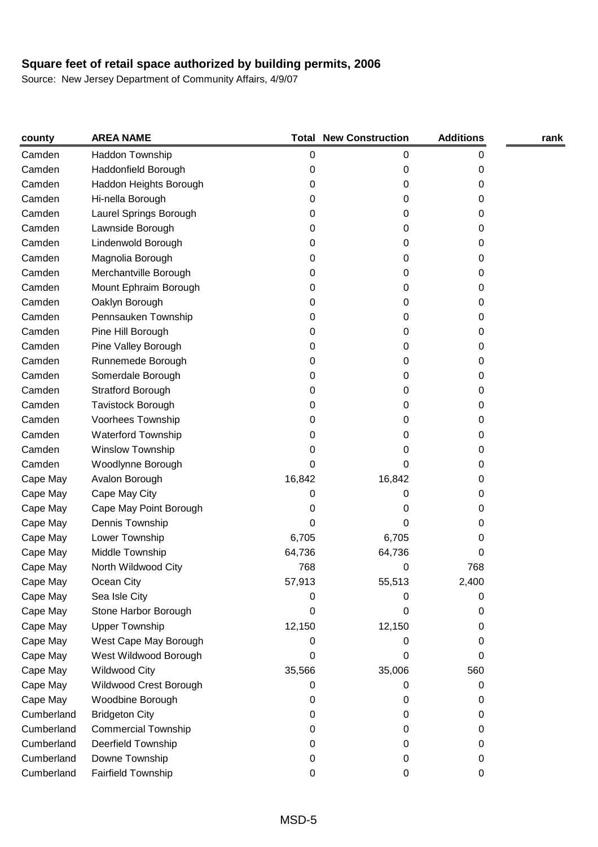| county     | <b>AREA NAME</b>           |        | <b>Total New Construction</b> | <b>Additions</b> | rank |
|------------|----------------------------|--------|-------------------------------|------------------|------|
| Camden     | Haddon Township            | 0      | 0                             | 0                |      |
| Camden     | Haddonfield Borough        | 0      | 0                             | 0                |      |
| Camden     | Haddon Heights Borough     | 0      | 0                             | 0                |      |
| Camden     | Hi-nella Borough           | 0      | 0                             | 0                |      |
| Camden     | Laurel Springs Borough     | 0      | 0                             | 0                |      |
| Camden     | Lawnside Borough           | 0      | 0                             | 0                |      |
| Camden     | Lindenwold Borough         | 0      | 0                             | 0                |      |
| Camden     | Magnolia Borough           | 0      | 0                             | 0                |      |
| Camden     | Merchantville Borough      | 0      | 0                             | 0                |      |
| Camden     | Mount Ephraim Borough      | 0      | 0                             | 0                |      |
| Camden     | Oaklyn Borough             | 0      | 0                             | 0                |      |
| Camden     | Pennsauken Township        | 0      | 0                             | 0                |      |
| Camden     | Pine Hill Borough          | 0      | 0                             | 0                |      |
| Camden     | Pine Valley Borough        | 0      | 0                             | 0                |      |
| Camden     | Runnemede Borough          | 0      | 0                             | 0                |      |
| Camden     | Somerdale Borough          | 0      | 0                             | 0                |      |
| Camden     | <b>Stratford Borough</b>   | 0      | 0                             | 0                |      |
| Camden     | <b>Tavistock Borough</b>   | 0      | 0                             | 0                |      |
| Camden     | Voorhees Township          | 0      | 0                             | 0                |      |
| Camden     | <b>Waterford Township</b>  | 0      | 0                             | 0                |      |
| Camden     | Winslow Township           | 0      | 0                             | 0                |      |
| Camden     | Woodlynne Borough          | 0      | 0                             | 0                |      |
| Cape May   | Avalon Borough             | 16,842 | 16,842                        | 0                |      |
| Cape May   | Cape May City              | 0      | 0                             | 0                |      |
| Cape May   | Cape May Point Borough     | 0      | 0                             | 0                |      |
| Cape May   | Dennis Township            | 0      | 0                             | 0                |      |
| Cape May   | Lower Township             | 6,705  | 6,705                         | 0                |      |
| Cape May   | Middle Township            | 64,736 | 64,736                        | 0                |      |
| Cape May   | North Wildwood City        | 768    | 0                             | 768              |      |
| Cape May   | Ocean City                 | 57,913 | 55,513                        | 2,400            |      |
| Cape May   | Sea Isle City              | 0      | 0                             | 0                |      |
| Cape May   | Stone Harbor Borough       | 0      | O                             | 0                |      |
| Cape May   | <b>Upper Township</b>      | 12,150 | 12,150                        | 0                |      |
| Cape May   | West Cape May Borough      | 0      | 0                             | 0                |      |
| Cape May   | West Wildwood Borough      | 0      | 0                             | 0                |      |
| Cape May   | <b>Wildwood City</b>       | 35,566 | 35,006                        | 560              |      |
| Cape May   | Wildwood Crest Borough     | 0      | 0                             | 0                |      |
| Cape May   | Woodbine Borough           | 0      | 0                             | 0                |      |
| Cumberland | <b>Bridgeton City</b>      | 0      | 0                             | 0                |      |
| Cumberland | <b>Commercial Township</b> | 0      | 0                             | 0                |      |
| Cumberland | Deerfield Township         | 0      | 0                             | 0                |      |
| Cumberland | Downe Township             | 0      | 0                             | 0                |      |
| Cumberland | Fairfield Township         | 0      | 0                             | 0                |      |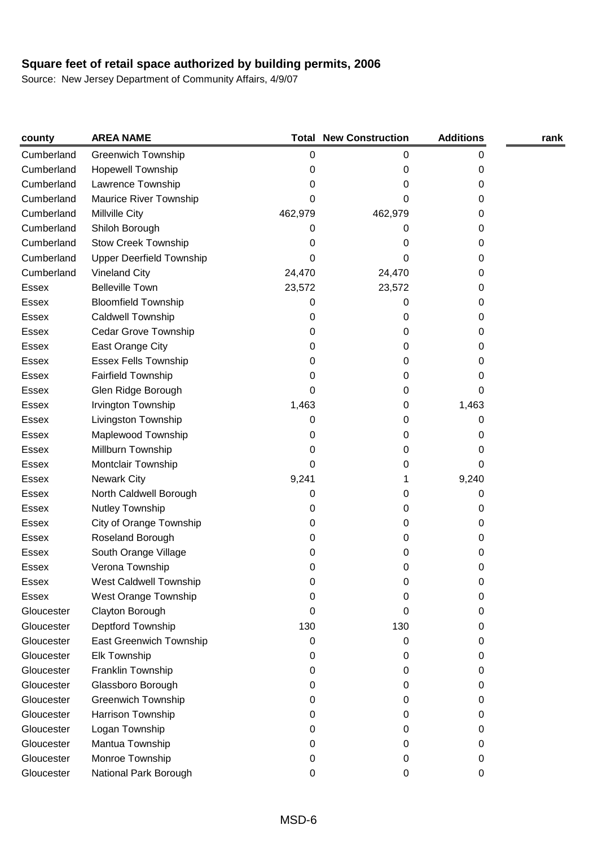| county       | <b>AREA NAME</b>                |         | <b>Total New Construction</b> | <b>Additions</b> | rank |
|--------------|---------------------------------|---------|-------------------------------|------------------|------|
| Cumberland   | <b>Greenwich Township</b>       | 0       | 0                             | 0                |      |
| Cumberland   | <b>Hopewell Township</b>        | 0       | 0                             | 0                |      |
| Cumberland   | Lawrence Township               | 0       | O                             | 0                |      |
| Cumberland   | Maurice River Township          | 0       | 0                             | 0                |      |
| Cumberland   | Millville City                  | 462,979 | 462,979                       | 0                |      |
| Cumberland   | Shiloh Borough                  | 0       | 0                             | 0                |      |
| Cumberland   | <b>Stow Creek Township</b>      | 0       | 0                             | 0                |      |
| Cumberland   | <b>Upper Deerfield Township</b> | 0       | 0                             | 0                |      |
| Cumberland   | <b>Vineland City</b>            | 24,470  | 24,470                        | 0                |      |
| <b>Essex</b> | <b>Belleville Town</b>          | 23,572  | 23,572                        | 0                |      |
| Essex        | <b>Bloomfield Township</b>      | 0       | 0                             | 0                |      |
| Essex        | Caldwell Township               | 0       | 0                             | 0                |      |
| Essex        | Cedar Grove Township            | 0       | 0                             | 0                |      |
| Essex        | East Orange City                | 0       | 0                             | 0                |      |
| Essex        | <b>Essex Fells Township</b>     | 0       | 0                             | 0                |      |
| Essex        | <b>Fairfield Township</b>       | 0       | 0                             | 0                |      |
| <b>Essex</b> | Glen Ridge Borough              | 0       | 0                             | 0                |      |
| Essex        | Irvington Township              | 1,463   | 0                             | 1,463            |      |
| Essex        | Livingston Township             | 0       | 0                             | 0                |      |
| Essex        | Maplewood Township              | 0       | 0                             | 0                |      |
| Essex        | Millburn Township               | 0       | 0                             | 0                |      |
| Essex        | Montclair Township              | 0       | 0                             | 0                |      |
| <b>Essex</b> | <b>Newark City</b>              | 9,241   | 1                             | 9,240            |      |
| Essex        | North Caldwell Borough          | 0       | 0                             | 0                |      |
| Essex        | Nutley Township                 | 0       | 0                             | 0                |      |
| Essex        | City of Orange Township         | 0       | 0                             | 0                |      |
| Essex        | Roseland Borough                | 0       | 0                             | 0                |      |
| Essex        | South Orange Village            | 0       | 0                             | 0                |      |
| Essex        | Verona Township                 | 0       | 0                             | 0                |      |
| Essex        | <b>West Caldwell Township</b>   | 0       | 0                             | 0                |      |
| <b>Essex</b> | West Orange Township            | 0       | 0                             | 0                |      |
| Gloucester   | Clayton Borough                 | 0       | 0                             | 0                |      |
| Gloucester   | Deptford Township               | 130     | 130                           | 0                |      |
| Gloucester   | East Greenwich Township         | 0       | 0                             | 0                |      |
| Gloucester   | Elk Township                    | 0       | 0                             | 0                |      |
| Gloucester   | Franklin Township               | 0       | 0                             | 0                |      |
| Gloucester   | Glassboro Borough               | 0       | 0                             | 0                |      |
| Gloucester   | <b>Greenwich Township</b>       | 0       | 0                             | 0                |      |
| Gloucester   | Harrison Township               | 0       | 0                             | 0                |      |
| Gloucester   | Logan Township                  | 0       | 0                             | 0                |      |
| Gloucester   | Mantua Township                 | 0       | 0                             | 0                |      |
| Gloucester   | Monroe Township                 | 0       | 0                             | 0                |      |
| Gloucester   | National Park Borough           | 0       | 0                             | 0                |      |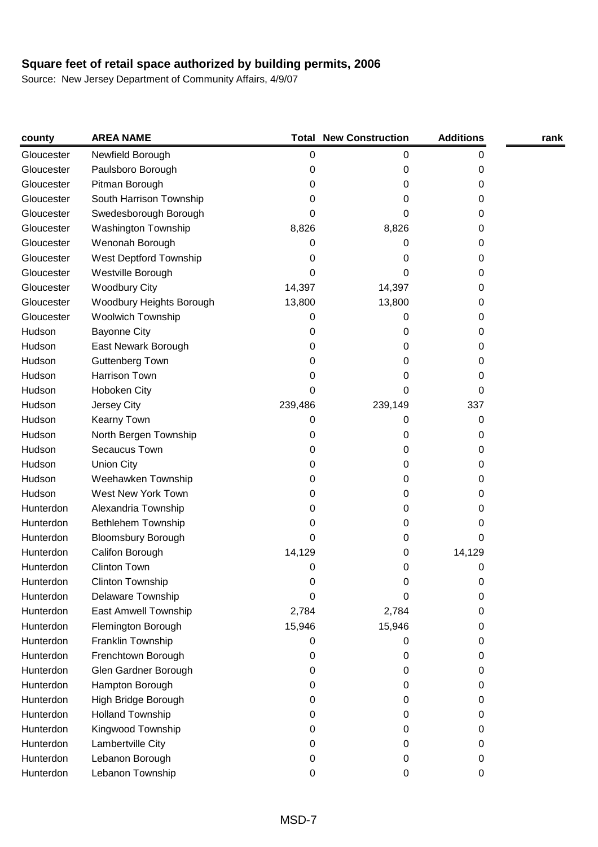| county     | <b>AREA NAME</b>           |         | <b>Total New Construction</b> | <b>Additions</b> | rank |
|------------|----------------------------|---------|-------------------------------|------------------|------|
| Gloucester | Newfield Borough           | 0       | 0                             | 0                |      |
| Gloucester | Paulsboro Borough          | 0       | 0                             | 0                |      |
| Gloucester | Pitman Borough             | 0       | 0                             | 0                |      |
| Gloucester | South Harrison Township    | 0       | 0                             | 0                |      |
| Gloucester | Swedesborough Borough      | 0       | 0                             | 0                |      |
| Gloucester | <b>Washington Township</b> | 8,826   | 8,826                         | 0                |      |
| Gloucester | Wenonah Borough            | 0       | 0                             | 0                |      |
| Gloucester | West Deptford Township     | 0       | 0                             | 0                |      |
| Gloucester | Westville Borough          | 0       | 0                             | 0                |      |
| Gloucester | <b>Woodbury City</b>       | 14,397  | 14,397                        | 0                |      |
| Gloucester | Woodbury Heights Borough   | 13,800  | 13,800                        | 0                |      |
| Gloucester | <b>Woolwich Township</b>   | 0       | 0                             | 0                |      |
| Hudson     | <b>Bayonne City</b>        | 0       | 0                             | 0                |      |
| Hudson     | East Newark Borough        | 0       | 0                             | 0                |      |
| Hudson     | Guttenberg Town            | 0       | 0                             | 0                |      |
| Hudson     | Harrison Town              | 0       | 0                             | 0                |      |
| Hudson     | Hoboken City               | 0       | 0                             | 0                |      |
| Hudson     | Jersey City                | 239,486 | 239,149                       | 337              |      |
| Hudson     | Kearny Town                | 0       | 0                             | 0                |      |
| Hudson     | North Bergen Township      | 0       | 0                             | 0                |      |
| Hudson     | Secaucus Town              | 0       | 0                             | 0                |      |
| Hudson     | <b>Union City</b>          | 0       | 0                             | 0                |      |
| Hudson     | Weehawken Township         | 0       | 0                             | 0                |      |
| Hudson     | West New York Town         | 0       | 0                             | 0                |      |
| Hunterdon  | Alexandria Township        | 0       | 0                             | 0                |      |
| Hunterdon  | Bethlehem Township         | 0       | 0                             | 0                |      |
| Hunterdon  | <b>Bloomsbury Borough</b>  | 0       | 0                             | 0                |      |
| Hunterdon  | Califon Borough            | 14,129  | 0                             | 14,129           |      |
| Hunterdon  | <b>Clinton Town</b>        | 0       | 0                             | 0                |      |
| Hunterdon  | Clinton Township           | 0       | 0                             | 0                |      |
| Hunterdon  | Delaware Township          | 0       | 0                             | 0                |      |
| Hunterdon  | East Amwell Township       | 2,784   | 2,784                         | 0                |      |
| Hunterdon  | Flemington Borough         | 15,946  | 15,946                        | 0                |      |
| Hunterdon  | Franklin Township          | 0       | 0                             | 0                |      |
| Hunterdon  | Frenchtown Borough         | 0       | 0                             | 0                |      |
| Hunterdon  | Glen Gardner Borough       | 0       | 0                             | 0                |      |
| Hunterdon  | Hampton Borough            | 0       | 0                             | 0                |      |
| Hunterdon  | High Bridge Borough        | 0       | 0                             | 0                |      |
| Hunterdon  | <b>Holland Township</b>    | 0       | 0                             | 0                |      |
| Hunterdon  | Kingwood Township          | 0       | 0                             | 0                |      |
| Hunterdon  | Lambertville City          | 0       | 0                             | 0                |      |
| Hunterdon  | Lebanon Borough            | 0       | 0                             | 0                |      |
| Hunterdon  | Lebanon Township           | 0       | 0                             | 0                |      |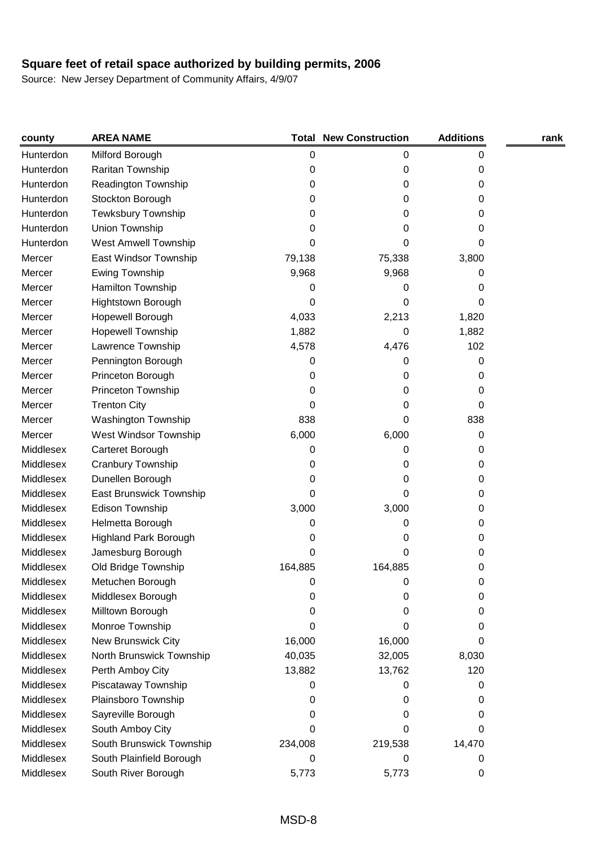| county    | <b>AREA NAME</b>               |         | <b>Total New Construction</b> | <b>Additions</b> | rank |
|-----------|--------------------------------|---------|-------------------------------|------------------|------|
| Hunterdon | Milford Borough                | 0       | 0                             | 0                |      |
| Hunterdon | Raritan Township               | 0       | 0                             | 0                |      |
| Hunterdon | Readington Township            | 0       | 0                             | 0                |      |
| Hunterdon | Stockton Borough               | 0       | 0                             | 0                |      |
| Hunterdon | <b>Tewksbury Township</b>      | 0       | 0                             | 0                |      |
| Hunterdon | Union Township                 | 0       | 0                             | 0                |      |
| Hunterdon | West Amwell Township           | 0       | 0                             | 0                |      |
| Mercer    | East Windsor Township          | 79,138  | 75,338                        | 3,800            |      |
| Mercer    | <b>Ewing Township</b>          | 9,968   | 9,968                         | 0                |      |
| Mercer    | Hamilton Township              | 0       | 0                             | 0                |      |
| Mercer    | Hightstown Borough             | 0       | 0                             | 0                |      |
| Mercer    | Hopewell Borough               | 4,033   | 2,213                         | 1,820            |      |
| Mercer    | <b>Hopewell Township</b>       | 1,882   | 0                             | 1,882            |      |
| Mercer    | Lawrence Township              | 4,578   | 4,476                         | 102              |      |
| Mercer    | Pennington Borough             | 0       | 0                             | 0                |      |
| Mercer    | Princeton Borough              | 0       | 0                             | 0                |      |
| Mercer    | Princeton Township             | 0       | 0                             | 0                |      |
| Mercer    | <b>Trenton City</b>            | 0       | 0                             | 0                |      |
| Mercer    | Washington Township            | 838     | 0                             | 838              |      |
| Mercer    | West Windsor Township          | 6,000   | 6,000                         | 0                |      |
| Middlesex | Carteret Borough               | 0       | 0                             | 0                |      |
| Middlesex | Cranbury Township              | 0       | 0                             | 0                |      |
| Middlesex | Dunellen Borough               | 0       | 0                             | 0                |      |
| Middlesex | <b>East Brunswick Township</b> | 0       | 0                             | 0                |      |
| Middlesex | Edison Township                | 3,000   | 3,000                         | 0                |      |
| Middlesex | Helmetta Borough               | 0       | 0                             | 0                |      |
| Middlesex | <b>Highland Park Borough</b>   | 0       | 0                             | 0                |      |
| Middlesex | Jamesburg Borough              | 0       | 0                             | 0                |      |
| Middlesex | Old Bridge Township            | 164,885 | 164,885                       | 0                |      |
| Middlesex | Metuchen Borough               | U       | 0                             | 0                |      |
| Middlesex | Middlesex Borough              | 0       | 0                             | 0                |      |
| Middlesex | Milltown Borough               | 0       | 0                             | 0                |      |
| Middlesex | Monroe Township                | 0       | 0                             | 0                |      |
| Middlesex | <b>New Brunswick City</b>      | 16,000  | 16,000                        | 0                |      |
| Middlesex | North Brunswick Township       | 40,035  | 32,005                        | 8,030            |      |
| Middlesex | Perth Amboy City               | 13,882  | 13,762                        | 120              |      |
| Middlesex | Piscataway Township            | 0       | 0                             | 0                |      |
| Middlesex | Plainsboro Township            | 0       | 0                             | 0                |      |
| Middlesex | Sayreville Borough             | 0       | 0                             | 0                |      |
| Middlesex | South Amboy City               | 0       | 0                             | 0                |      |
| Middlesex | South Brunswick Township       | 234,008 | 219,538                       | 14,470           |      |
| Middlesex | South Plainfield Borough       | 0       | 0                             | 0                |      |
| Middlesex | South River Borough            | 5,773   | 5,773                         | $\pmb{0}$        |      |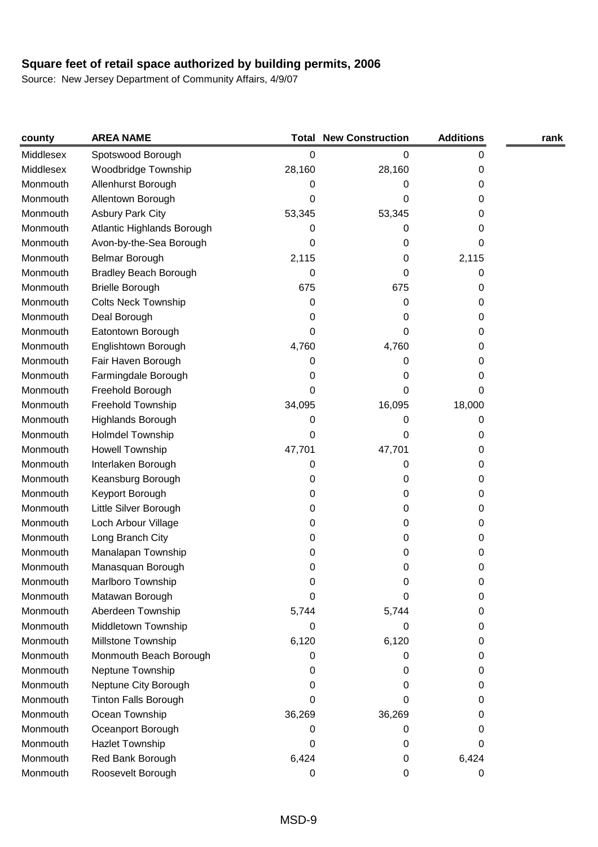| county    | <b>AREA NAME</b>            |        | <b>Total New Construction</b> | <b>Additions</b> | rank |
|-----------|-----------------------------|--------|-------------------------------|------------------|------|
| Middlesex | Spotswood Borough           | 0      | 0                             | 0                |      |
| Middlesex | Woodbridge Township         | 28,160 | 28,160                        | 0                |      |
| Monmouth  | Allenhurst Borough          | 0      | 0                             | 0                |      |
| Monmouth  | Allentown Borough           | 0      | 0                             | 0                |      |
| Monmouth  | <b>Asbury Park City</b>     | 53,345 | 53,345                        | 0                |      |
| Monmouth  | Atlantic Highlands Borough  | 0      | 0                             | 0                |      |
| Monmouth  | Avon-by-the-Sea Borough     | 0      | 0                             | 0                |      |
| Monmouth  | Belmar Borough              | 2,115  | 0                             | 2,115            |      |
| Monmouth  | Bradley Beach Borough       | 0      | 0                             | 0                |      |
| Monmouth  | <b>Brielle Borough</b>      | 675    | 675                           | 0                |      |
| Monmouth  | <b>Colts Neck Township</b>  | 0      | 0                             | 0                |      |
| Monmouth  | Deal Borough                | 0      | 0                             | 0                |      |
| Monmouth  | Eatontown Borough           | 0      | 0                             | 0                |      |
| Monmouth  | Englishtown Borough         | 4,760  | 4,760                         | 0                |      |
| Monmouth  | Fair Haven Borough          | 0      | 0                             | 0                |      |
| Monmouth  | Farmingdale Borough         | 0      | 0                             | O                |      |
| Monmouth  | Freehold Borough            | 0      | 0                             | 0                |      |
| Monmouth  | Freehold Township           | 34,095 | 16,095                        | 18,000           |      |
| Monmouth  | Highlands Borough           | 0      | 0                             | 0                |      |
| Monmouth  | <b>Holmdel Township</b>     | 0      | 0                             | 0                |      |
| Monmouth  | Howell Township             | 47,701 | 47,701                        | 0                |      |
| Monmouth  | Interlaken Borough          | 0      | 0                             | 0                |      |
| Monmouth  | Keansburg Borough           | 0      | 0                             | 0                |      |
| Monmouth  | Keyport Borough             | 0      | 0                             | 0                |      |
| Monmouth  | Little Silver Borough       | 0      | 0                             | 0                |      |
| Monmouth  | Loch Arbour Village         | 0      | 0                             | 0                |      |
| Monmouth  | Long Branch City            | 0      | 0                             | 0                |      |
| Monmouth  | Manalapan Township          | 0      | 0                             | 0                |      |
| Monmouth  | Manasquan Borough           | 0      | 0                             | 0                |      |
| Monmouth  | Marlboro Township           | 0      | 0                             | 0                |      |
| Monmouth  | Matawan Borough             | 0      | 0                             | 0                |      |
| Monmouth  | Aberdeen Township           | 5,744  | 5,744                         | 0                |      |
| Monmouth  | Middletown Township         | 0      | 0                             | 0                |      |
| Monmouth  | Millstone Township          | 6,120  | 6,120                         | 0                |      |
| Monmouth  | Monmouth Beach Borough      | 0      | 0                             | 0                |      |
| Monmouth  | Neptune Township            | 0      | 0                             | 0                |      |
| Monmouth  | Neptune City Borough        | 0      | 0                             | 0                |      |
| Monmouth  | <b>Tinton Falls Borough</b> | 0      | 0                             | 0                |      |
| Monmouth  | Ocean Township              | 36,269 | 36,269                        | 0                |      |
| Monmouth  | Oceanport Borough           | 0      | 0                             | 0                |      |
| Monmouth  | Hazlet Township             | 0      | 0                             | 0                |      |
| Monmouth  | Red Bank Borough            | 6,424  | 0                             | 6,424            |      |
| Monmouth  | Roosevelt Borough           | 0      | 0                             | 0                |      |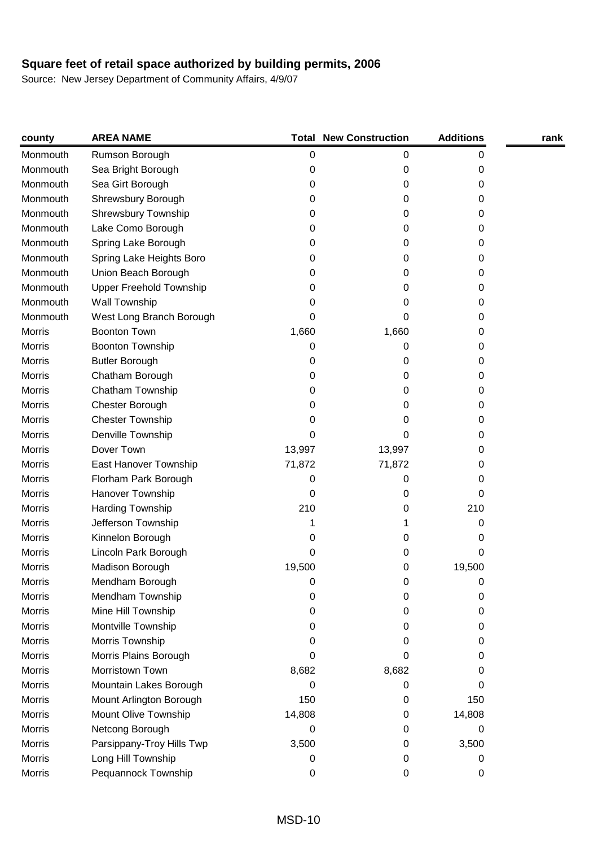| county        | <b>AREA NAME</b>               |        | <b>Total New Construction</b> | <b>Additions</b> | rank |
|---------------|--------------------------------|--------|-------------------------------|------------------|------|
| Monmouth      | Rumson Borough                 | 0      | 0                             | 0                |      |
| Monmouth      | Sea Bright Borough             | 0      | 0                             | 0                |      |
| Monmouth      | Sea Girt Borough               | 0      | 0                             | 0                |      |
| Monmouth      | Shrewsbury Borough             | 0      | 0                             | 0                |      |
| Monmouth      | <b>Shrewsbury Township</b>     | 0      | 0                             | 0                |      |
| Monmouth      | Lake Como Borough              | 0      | 0                             | 0                |      |
| Monmouth      | Spring Lake Borough            | 0      | 0                             | 0                |      |
| Monmouth      | Spring Lake Heights Boro       | 0      | 0                             | 0                |      |
| Monmouth      | Union Beach Borough            | 0      | 0                             | 0                |      |
| Monmouth      | <b>Upper Freehold Township</b> | 0      | 0                             | 0                |      |
| Monmouth      | Wall Township                  | 0      | 0                             | 0                |      |
| Monmouth      | West Long Branch Borough       | 0      | 0                             | 0                |      |
| Morris        | <b>Boonton Town</b>            | 1,660  | 1,660                         | 0                |      |
| <b>Morris</b> | <b>Boonton Township</b>        | 0      | 0                             | 0                |      |
| Morris        | <b>Butler Borough</b>          | 0      | 0                             | 0                |      |
| Morris        | Chatham Borough                | 0      | 0                             | 0                |      |
| Morris        | Chatham Township               | 0      | 0                             | 0                |      |
| Morris        | Chester Borough                | 0      | 0                             | 0                |      |
| Morris        | <b>Chester Township</b>        | 0      | 0                             | 0                |      |
| Morris        | Denville Township              | 0      | 0                             | 0                |      |
| <b>Morris</b> | Dover Town                     | 13,997 | 13,997                        | 0                |      |
| Morris        | East Hanover Township          | 71,872 | 71,872                        | 0                |      |
| Morris        | Florham Park Borough           | 0      | 0                             | 0                |      |
| Morris        | Hanover Township               | 0      | 0                             | 0                |      |
| <b>Morris</b> | <b>Harding Township</b>        | 210    | 0                             | 210              |      |
| Morris        | Jefferson Township             | 1      | 1                             | 0                |      |
| Morris        | Kinnelon Borough               | 0      | 0                             | 0                |      |
| Morris        | Lincoln Park Borough           | 0      | 0                             | 0                |      |
| Morris        | Madison Borough                | 19,500 | 0                             | 19,500           |      |
| Morris        | Mendham Borough                | 0      | 0                             | 0                |      |
| Morris        | Mendham Township               | 0      | 0                             | 0                |      |
| Morris        | Mine Hill Township             | 0      | 0                             | 0                |      |
| Morris        | Montville Township             | 0      | 0                             | 0                |      |
| Morris        | Morris Township                | 0      | 0                             | 0                |      |
| Morris        | Morris Plains Borough          | 0      | 0                             | 0                |      |
| Morris        | Morristown Town                | 8,682  | 8,682                         | 0                |      |
| <b>Morris</b> | Mountain Lakes Borough         | 0      | 0                             | 0                |      |
| Morris        | Mount Arlington Borough        | 150    | 0                             | 150              |      |
| Morris        | Mount Olive Township           | 14,808 | 0                             | 14,808           |      |
| Morris        | Netcong Borough                | 0      | 0                             | 0                |      |
| <b>Morris</b> | Parsippany-Troy Hills Twp      | 3,500  | 0                             | 3,500            |      |
| <b>Morris</b> | Long Hill Township             | 0      | 0                             | 0                |      |
| Morris        | Pequannock Township            | 0      | 0                             | 0                |      |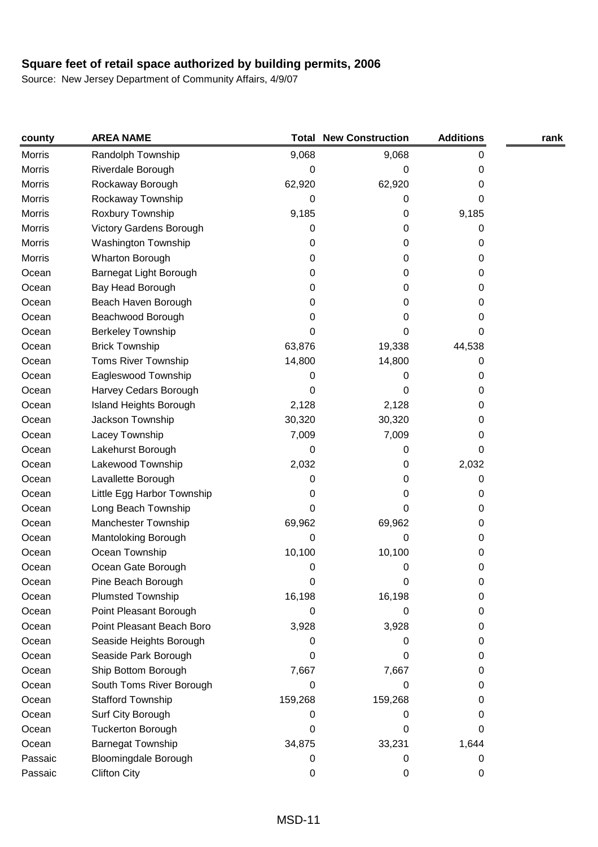| county        | <b>AREA NAME</b>              |         | <b>Total New Construction</b> | <b>Additions</b> | rank |
|---------------|-------------------------------|---------|-------------------------------|------------------|------|
| Morris        | Randolph Township             | 9,068   | 9,068                         | 0                |      |
| Morris        | Riverdale Borough             | 0       | 0                             | 0                |      |
| Morris        | Rockaway Borough              | 62,920  | 62,920                        | 0                |      |
| Morris        | Rockaway Township             | 0       | 0                             | 0                |      |
| Morris        | Roxbury Township              | 9,185   | 0                             | 9,185            |      |
| <b>Morris</b> | Victory Gardens Borough       | 0       | 0                             | 0                |      |
| Morris        | Washington Township           | 0       | 0                             | 0                |      |
| Morris        | Wharton Borough               | 0       | 0                             | 0                |      |
| Ocean         | Barnegat Light Borough        | 0       | 0                             | 0                |      |
| Ocean         | Bay Head Borough              | 0       | 0                             | 0                |      |
| Ocean         | Beach Haven Borough           | 0       | 0                             | 0                |      |
| Ocean         | Beachwood Borough             | 0       | 0                             | 0                |      |
| Ocean         | <b>Berkeley Township</b>      | 0       | 0                             | 0                |      |
| Ocean         | <b>Brick Township</b>         | 63,876  | 19,338                        | 44,538           |      |
| Ocean         | <b>Toms River Township</b>    | 14,800  | 14,800                        | 0                |      |
| Ocean         | Eagleswood Township           | 0       | 0                             | 0                |      |
| Ocean         | Harvey Cedars Borough         | 0       | 0                             | 0                |      |
| Ocean         | <b>Island Heights Borough</b> | 2,128   | 2,128                         | 0                |      |
| Ocean         | Jackson Township              | 30,320  | 30,320                        | 0                |      |
| Ocean         | Lacey Township                | 7,009   | 7,009                         | 0                |      |
| Ocean         | Lakehurst Borough             | 0       | 0                             | 0                |      |
| Ocean         | Lakewood Township             | 2,032   | 0                             | 2,032            |      |
| Ocean         | Lavallette Borough            | 0       | 0                             | 0                |      |
| Ocean         | Little Egg Harbor Township    | 0       | 0                             | 0                |      |
| Ocean         | Long Beach Township           | 0       | 0                             | 0                |      |
| Ocean         | Manchester Township           | 69,962  | 69,962                        | 0                |      |
| Ocean         | Mantoloking Borough           | 0       | 0                             | 0                |      |
| Ocean         | Ocean Township                | 10,100  | 10,100                        | 0                |      |
| Ocean         | Ocean Gate Borough            | 0       | 0                             | 0                |      |
| Ocean         | Pine Beach Borough            | 0       | 0                             | 0                |      |
| Ocean         | <b>Plumsted Township</b>      | 16,198  | 16,198                        | 0                |      |
| Ocean         | Point Pleasant Borough        | 0       | 0                             | 0                |      |
| Ocean         | Point Pleasant Beach Boro     | 3,928   | 3,928                         | 0                |      |
| Ocean         | Seaside Heights Borough       | 0       | 0                             | 0                |      |
| Ocean         | Seaside Park Borough          | 0       | 0                             | 0                |      |
| Ocean         | Ship Bottom Borough           | 7,667   | 7,667                         | 0                |      |
| Ocean         | South Toms River Borough      | 0       | 0                             | 0                |      |
| Ocean         | <b>Stafford Township</b>      | 159,268 | 159,268                       | 0                |      |
| Ocean         | Surf City Borough             | 0       | 0                             | 0                |      |
| Ocean         | <b>Tuckerton Borough</b>      | 0       | 0                             | 0                |      |
| Ocean         | <b>Barnegat Township</b>      | 34,875  | 33,231                        | 1,644            |      |
| Passaic       | <b>Bloomingdale Borough</b>   | 0       | 0                             | 0                |      |
| Passaic       | <b>Clifton City</b>           | 0       | 0                             | 0                |      |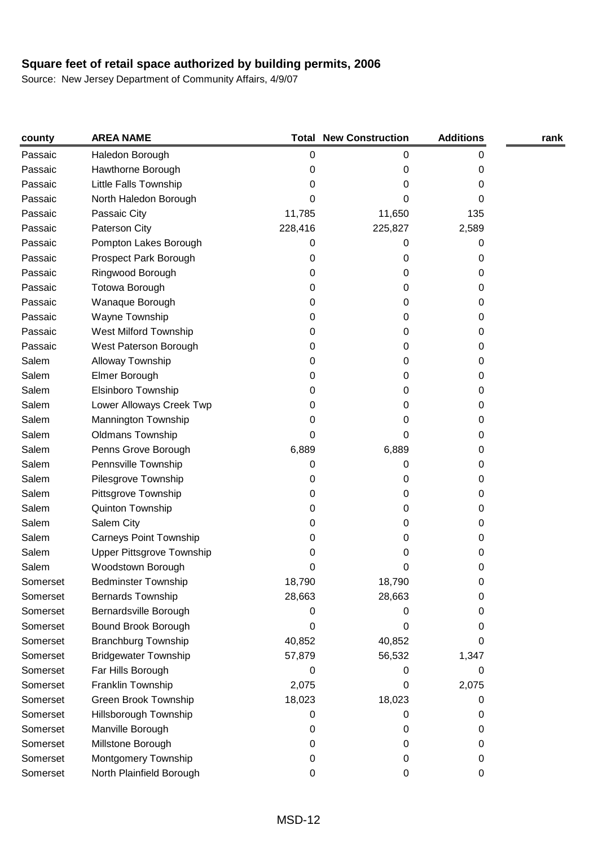| county   | <b>AREA NAME</b>                 |         | <b>Total New Construction</b> | <b>Additions</b> | rank |
|----------|----------------------------------|---------|-------------------------------|------------------|------|
| Passaic  | Haledon Borough                  | 0       | 0                             | 0                |      |
| Passaic  | Hawthorne Borough                | 0       | 0                             | 0                |      |
| Passaic  | Little Falls Township            | 0       | 0                             | 0                |      |
| Passaic  | North Haledon Borough            | 0       | 0                             | 0                |      |
| Passaic  | Passaic City                     | 11,785  | 11,650                        | 135              |      |
| Passaic  | Paterson City                    | 228,416 | 225,827                       | 2,589            |      |
| Passaic  | Pompton Lakes Borough            | 0       | 0                             | 0                |      |
| Passaic  | Prospect Park Borough            | 0       | 0                             | 0                |      |
| Passaic  | Ringwood Borough                 | 0       | 0                             | 0                |      |
| Passaic  | Totowa Borough                   | 0       | 0                             | 0                |      |
| Passaic  | Wanaque Borough                  | 0       | 0                             | 0                |      |
| Passaic  | Wayne Township                   | 0       | 0                             | 0                |      |
| Passaic  | West Milford Township            | 0       | 0                             | 0                |      |
| Passaic  | West Paterson Borough            | 0       | 0                             | 0                |      |
| Salem    | Alloway Township                 | 0       | 0                             | 0                |      |
| Salem    | Elmer Borough                    | 0       | 0                             | 0                |      |
| Salem    | Elsinboro Township               | 0       | 0                             | 0                |      |
| Salem    | Lower Alloways Creek Twp         | 0       | 0                             | 0                |      |
| Salem    | Mannington Township              | 0       | 0                             | 0                |      |
| Salem    | Oldmans Township                 | 0       | 0                             | 0                |      |
| Salem    | Penns Grove Borough              | 6,889   | 6,889                         | 0                |      |
| Salem    | Pennsville Township              | 0       | 0                             | 0                |      |
| Salem    | Pilesgrove Township              | 0       | 0                             | 0                |      |
| Salem    | Pittsgrove Township              | 0       | 0                             | 0                |      |
| Salem    | Quinton Township                 | 0       | 0                             | 0                |      |
| Salem    | Salem City                       | 0       | 0                             | 0                |      |
| Salem    | <b>Carneys Point Township</b>    | 0       | 0                             | 0                |      |
| Salem    | <b>Upper Pittsgrove Township</b> | 0       | 0                             | 0                |      |
| Salem    | Woodstown Borough                | 0       | 0                             | 0                |      |
| Somerset | <b>Bedminster Township</b>       | 18,790  | 18,790                        | 0                |      |
| Somerset | <b>Bernards Township</b>         | 28,663  | 28,663                        | 0                |      |
| Somerset | Bernardsville Borough            | 0       | O                             | 0                |      |
| Somerset | Bound Brook Borough              | 0       | 0                             | 0                |      |
| Somerset | <b>Branchburg Township</b>       | 40,852  | 40,852                        | 0                |      |
| Somerset | <b>Bridgewater Township</b>      | 57,879  | 56,532                        | 1,347            |      |
| Somerset | Far Hills Borough                | 0       | 0                             | 0                |      |
| Somerset | Franklin Township                | 2,075   | 0                             | 2,075            |      |
| Somerset | Green Brook Township             | 18,023  | 18,023                        | 0                |      |
| Somerset | Hillsborough Township            | 0       | 0                             | 0                |      |
| Somerset | Manville Borough                 | 0       | 0                             | 0                |      |
| Somerset | Millstone Borough                | 0       | 0                             | 0                |      |
| Somerset | Montgomery Township              | 0       | 0                             | 0                |      |
| Somerset | North Plainfield Borough         | 0       | 0                             | 0                |      |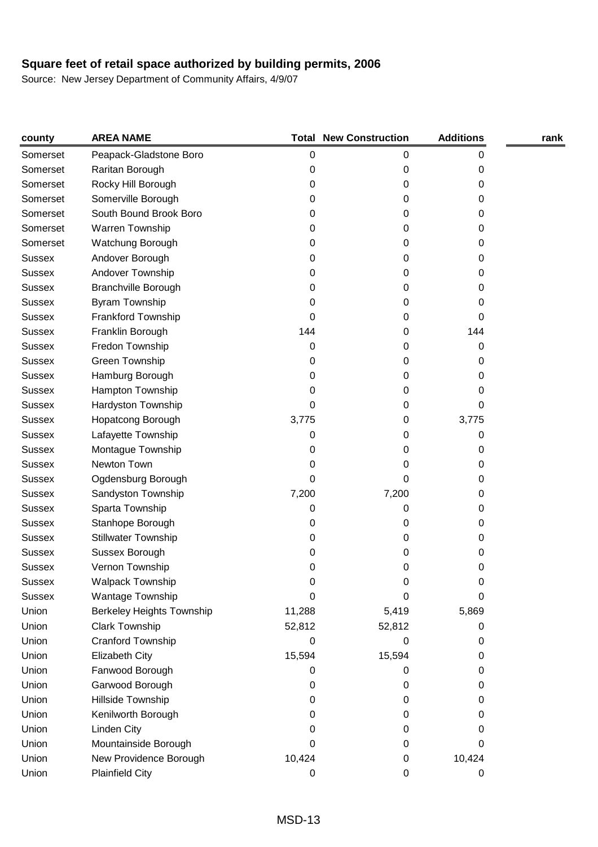| county        | <b>AREA NAME</b>                 | <b>Total</b> | <b>New Construction</b> | <b>Additions</b> | rank |
|---------------|----------------------------------|--------------|-------------------------|------------------|------|
| Somerset      | Peapack-Gladstone Boro           | 0            | 0                       | 0                |      |
| Somerset      | Raritan Borough                  | 0            | 0                       | 0                |      |
| Somerset      | Rocky Hill Borough               | 0            | 0                       | 0                |      |
| Somerset      | Somerville Borough               | 0            | 0                       | 0                |      |
| Somerset      | South Bound Brook Boro           | 0            | 0                       | 0                |      |
| Somerset      | Warren Township                  | 0            | 0                       | 0                |      |
| Somerset      | Watchung Borough                 | 0            | 0                       | 0                |      |
| <b>Sussex</b> | Andover Borough                  | 0            | 0                       | 0                |      |
| <b>Sussex</b> | Andover Township                 | 0            | 0                       | 0                |      |
| <b>Sussex</b> | <b>Branchville Borough</b>       | 0            | 0                       | 0                |      |
| <b>Sussex</b> | Byram Township                   | 0            | 0                       | 0                |      |
| <b>Sussex</b> | Frankford Township               | 0            | 0                       | 0                |      |
| <b>Sussex</b> | Franklin Borough                 | 144          | 0                       | 144              |      |
| <b>Sussex</b> | Fredon Township                  | 0            | 0                       | 0                |      |
| <b>Sussex</b> | Green Township                   | 0            | 0                       | 0                |      |
| <b>Sussex</b> | Hamburg Borough                  | 0            | 0                       | 0                |      |
| <b>Sussex</b> | Hampton Township                 | 0            | 0                       | 0                |      |
| <b>Sussex</b> | Hardyston Township               | 0            | 0                       | 0                |      |
| <b>Sussex</b> | Hopatcong Borough                | 3,775        | 0                       | 3,775            |      |
| <b>Sussex</b> | Lafayette Township               | 0            | 0                       | 0                |      |
| <b>Sussex</b> | Montague Township                | 0            | 0                       | 0                |      |
| <b>Sussex</b> | Newton Town                      | 0            | 0                       | 0                |      |
| <b>Sussex</b> | Ogdensburg Borough               | 0            | 0                       | 0                |      |
| <b>Sussex</b> | Sandyston Township               | 7,200        | 7,200                   | 0                |      |
| <b>Sussex</b> | Sparta Township                  | 0            | 0                       | 0                |      |
| <b>Sussex</b> | Stanhope Borough                 | 0            | 0                       | 0                |      |
| <b>Sussex</b> | <b>Stillwater Township</b>       | 0            | 0                       | 0                |      |
| <b>Sussex</b> | Sussex Borough                   | 0            | 0                       | 0                |      |
| <b>Sussex</b> | Vernon Township                  | 0            | 0                       | 0                |      |
| <b>Sussex</b> | Walpack Township                 | 0            | 0                       | 0                |      |
| <b>Sussex</b> | Wantage Township                 | 0            | 0                       | 0                |      |
| Union         | <b>Berkeley Heights Township</b> | 11,288       | 5,419                   | 5,869            |      |
| Union         | Clark Township                   | 52,812       | 52,812                  | 0                |      |
| Union         | Cranford Township                | 0            | 0                       | 0                |      |
| Union         | Elizabeth City                   | 15,594       | 15,594                  | 0                |      |
| Union         | Fanwood Borough                  | 0            | 0                       | 0                |      |
| Union         | Garwood Borough                  | 0            | 0                       | 0                |      |
| Union         | Hillside Township                | 0            | 0                       | 0                |      |
| Union         | Kenilworth Borough               | 0            | 0                       | 0                |      |
| Union         | Linden City                      | 0            | 0                       | 0                |      |
| Union         | Mountainside Borough             | 0            | 0                       | 0                |      |
| Union         | New Providence Borough           | 10,424       | 0                       | 10,424           |      |
| Union         | <b>Plainfield City</b>           | 0            | 0                       | 0                |      |